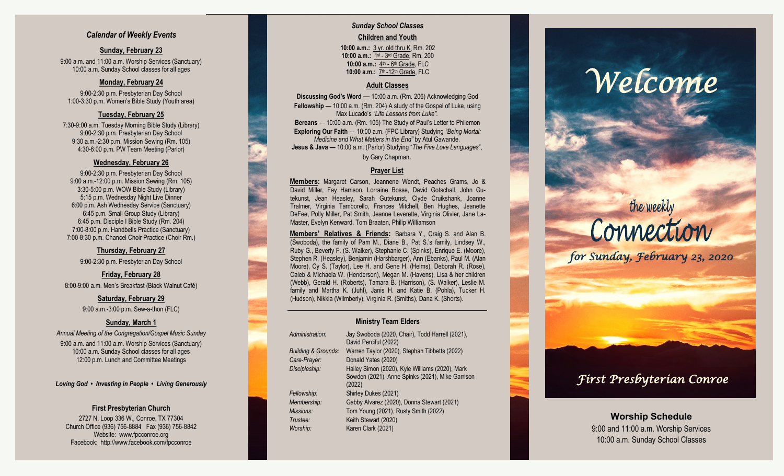### *Calendar of Weekly Events*

### **Sunday, February 23**

9:00 a.m. and 11:00 a.m. Worship Services (Sanctuary) 10:00 a.m. Sunday School classes for all ages

### **Monday, February 24**

9:00 -2:30 p.m. Presbyterian Day School 1:00 -3:30 p.m. Women's Bible Study (Youth area)

### **Tuesday, February 25**

7:30 -9:00 a.m. Tuesday Morning Bible Study (Library) 9:00 -2:30 p.m. Presbyterian Day School 9:30 a.m. -2:30 p.m. Mission Sewing (Rm. 105) 4:30 -6:00 p.m. PW Team Meeting (Parlor)

### **Wednesday, February 26**

9:00 -2:30 p.m. Presbyterian Day School 9:00 a.m. -12:00 p.m. Mission Sewing (Rm. 105) 3:30 -5:00 p.m. WOW Bible Study (Library) 5:15 p.m. Wednesday Night Live Dinner 6:00 p.m. Ash Wednesday Service (Sanctuary) 6:45 p.m. Small Group Study (Library) 6:45 p.m. Disciple I Bible Study (Rm. 204) 7:00 -8:00 p.m. Handbells Practice (Sanctuary) 7:00 -8:30 p.m. Chancel Choir Practice (Choir Rm.)

### **Thursday, February 27**

9:00 -2:30 p.m. Presbyterian Day School

### **Friday, February 28**

8:00 -9:00 a.m. Men's Breakfast (Black Walnut Café)

### **Saturday, February 29** 9:00 a.m.-3:00 p.m. Sew-a-thon (FLC)

### **Sunday, March 1**

*Annual Meeting of the Congregation/Gospel Music Sunday* 9:00 a.m. and 11:00 a.m. Worship Services (Sanctuary) 10:00 a.m. Sunday School classes for all ages 12:00 p.m. Lunch and Committee Meetings

*Loving God • Investing in People • Living Generously*

### **First Presbyterian Church**

2727 N. Loop 336 W., Conroe, TX 77304 Church Office (936) 756 -8884 Fax (936) 756 -8842 Website: [www.fpcconroe.org](http://www.fpcconroe.org/) Facebook: <http://www.facebook.com/fpcconroe>

### *Sunday School Classes* **Children and Youth**

**10:00 a.m.:** 3 yr. old thru K, Rm. 202 10:00 a.m.: 1<sup>st</sup> - 3<sup>rd</sup> Grade, Rm. 200 10:00 a.m.: 4<sup>th</sup> - 6<sup>th</sup> Grade, FLC 10:00 a.m.: 7<sup>th</sup> -12<sup>th</sup> Grade, FLC

### **Adult Classes**

**Discussing God's Word**  — 10:00 a.m. (Rm. 206) Acknowledging God **Fellowship** — 10:00 a.m. (Rm. 204) A study of the Gospel of Luke, using Max Lucado's *"Life Lessons from Luke".* **Bereans** — 10:00 a.m. (Rm. 105) The Study of Paul's Letter to Philemon **Exploring Our Faith**  — 10:00 a.m. (FPC Library) Studying *"Being Mortal: Medicine and What Matters in the End"* by Atul Gawande. **Jesus & Java —** 10:00 a.m. (Parlor) Studying "*The Five Love Languages*", by Gary Chapman*.*

### **Prayer List**

**Members :** Margaret Carson, Jeannene Wendt, Peaches Grams, Jo & David Miller, Fay Harrison, Lorraine Bosse, David Gotschall, John Gutekunst, Jean Heasley, Sarah Gutekunst, Clyde Cruikshank, Joanne Tralmer, Virginia Tamborello, Frances Mitchell, Ben Hughes, Jeanette DeFee, Polly Miller, Pat Smith, Jeanne Leverette, Virginia Olivier, Jane La-Master, Evelyn Kenward, Tom Braaten, Philip Williamson

**Members' Relatives & Friends:** Barbara Y., Craig S. and Alan B. (Swoboda), the family of Pam M., Diane B., Pat S.'s family, Lindsey W., Ruby G., Beverly F. (S. Walker), Stephanie C. (Spinks), Enrique E. (Moore), Stephen R. (Heasley), Benjamin (Harshbarger), Ann (Ebanks), Paul M. (Alan Moore), Cy S. (Taylor), Lee H. and Gene H. (Helms), Deborah R. (Rose), Caleb & Michaela W. (Henderson), Megan M. (Havens), Lisa & her children (Webb), Gerald H. (Roberts), Tamara B. (Harrison), (S. Walker), Leslie M. family and Martha K. (Juhl), Janis H. and Katie B. (Pohla), Tucker H. (Hudson), Nikkia (Wilmberly), Virginia R. (Smiths), Dana K. (Shorts).

### **Ministry Team Elders**

| Administration:     | Jay Swoboda (2020, Chair), Todd Harrell (2021),  |
|---------------------|--------------------------------------------------|
|                     | David Perciful (2022)                            |
| Building & Grounds: | Warren Taylor (2020), Stephan Tibbetts (2022)    |
| Care-Prayer:        | Donald Yates (2020)                              |
| Discipleship:       | Hailey Simon (2020), Kyle Williams (2020), Mark  |
|                     | Sowden (2021), Anne Spinks (2021), Mike Garrison |
|                     | (2022)                                           |
| Fellowship:         | Shirley Dukes (2021)                             |
| Membership:         | Gabby Alvarez (2020), Donna Stewart (2021)       |
| <b>Missions:</b>    | Tom Young (2021), Rusty Smith (2022)             |
| Trustee:            | Keith Stewart (2020)                             |
| Worship:            | Karen Clark (2021)                               |

## *Welcome*

# the weekly<br>Connection

*for Sunday, February 23, 2020* 

### *First Presbyterian Conroe*

**Worship Schedule** 9:00 and 11:00 a.m. Worship Services 10:00 a.m. Sunday School Classes